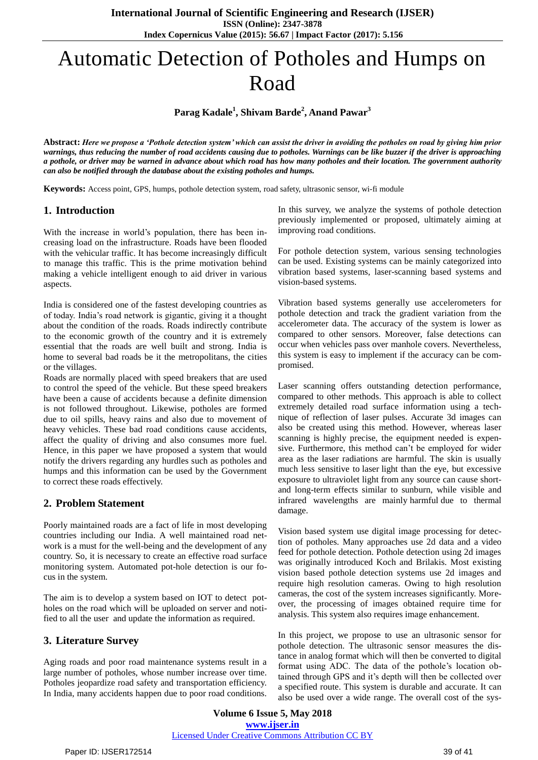# Automatic Detection of Potholes and Humps on Road

## **Parag Kadale<sup>1</sup> , Shivam Barde<sup>2</sup> , Anand Pawar<sup>3</sup>**

**Abstract:** *Here we propose a 'Pothole detection system' which can assist the driver in avoiding the potholes on road by giving him prior warnings, thus reducing the number of road accidents causing due to potholes. Warnings can be like buzzer if the driver is approaching a pothole, or driver may be warned in advance about which road has how many potholes and their location. The government authority can also be notified through the database about the existing potholes and humps.*

**Keywords:** Access point, GPS, humps, pothole detection system, road safety, ultrasonic sensor, wi-fi module

### **1. Introduction**

With the increase in world's population, there has been increasing load on the infrastructure. Roads have been flooded with the vehicular traffic. It has become increasingly difficult to manage this traffic. This is the prime motivation behind making a vehicle intelligent enough to aid driver in various aspects.

India is considered one of the fastest developing countries as of today. India's road network is gigantic, giving it a thought about the condition of the roads. Roads indirectly contribute to the economic growth of the country and it is extremely essential that the roads are well built and strong. India is home to several bad roads be it the metropolitans, the cities or the villages.

Roads are normally placed with speed breakers that are used to control the speed of the vehicle. But these speed breakers have been a cause of accidents because a definite dimension is not followed throughout. Likewise, potholes are formed due to oil spills, heavy rains and also due to movement of heavy vehicles. These bad road conditions cause accidents, affect the quality of driving and also consumes more fuel. Hence, in this paper we have proposed a system that would notify the drivers regarding any hurdles such as potholes and humps and this information can be used by the Government to correct these roads effectively.

### **2. Problem Statement**

Poorly maintained roads are a fact of life in most developing countries including our India. A well maintained road network is a must for the well-being and the development of any country. So, it is necessary to create an effective road surface monitoring system. Automated pot-hole detection is our focus in the system.

The aim is to develop a system based on IOT to detect potholes on the road which will be uploaded on server and notified to all the user and update the information as required.

### **3. Literature Survey**

Aging roads and poor road maintenance systems result in a large number of potholes, whose number increase over time. Potholes jeopardize road safety and transportation efficiency. In India, many accidents happen due to poor road conditions. In this survey, we analyze the systems of pothole detection previously implemented or proposed, ultimately aiming at improving road conditions.

For pothole detection system, various sensing technologies can be used. Existing systems can be mainly categorized into vibration based systems, laser-scanning based systems and vision-based systems.

Vibration based systems generally use accelerometers for pothole detection and track the gradient variation from the accelerometer data. The accuracy of the system is lower as compared to other sensors. Moreover, false detections can occur when vehicles pass over manhole covers. Nevertheless, this system is easy to implement if the accuracy can be compromised.

Laser scanning offers outstanding detection performance, compared to other methods. This approach is able to collect extremely detailed road surface information using a technique of reflection of laser pulses. Accurate 3d images can also be created using this method. However, whereas laser scanning is highly precise, the equipment needed is expensive. Furthermore, this method can't be employed for wider area as the laser radiations are harmful. The skin is usually much less sensitive to laser light than the eye, but excessive exposure to ultraviolet light from any source can cause shortand long-term effects similar to sunburn, while visible and infrared wavelengths are mainly harmful due to thermal damage.

Vision based system use digital image processing for detection of potholes. Many approaches use 2d data and a video feed for pothole detection. Pothole detection using 2d images was originally introduced Koch and Brilakis. Most existing vision based pothole detection systems use 2d images and require high resolution cameras. Owing to high resolution cameras, the cost of the system increases significantly. Moreover, the processing of images obtained require time for analysis. This system also requires image enhancement.

In this project, we propose to use an ultrasonic sensor for pothole detection. The ultrasonic sensor measures the distance in analog format which will then be converted to digital format using ADC. The data of the pothole's location obtained through GPS and it's depth will then be collected over a specified route. This system is durable and accurate. It can also be used over a wide range. The overall cost of the sys-

**Volume 6 Issue 5, May 2018 [www.ijser.in](file:///G:\www.ijser.in\Documents\www.ijser.in)** [Licensed Under Creative Commons Attribution CC BY](http://creativecommons.org/licenses/by/4.0/)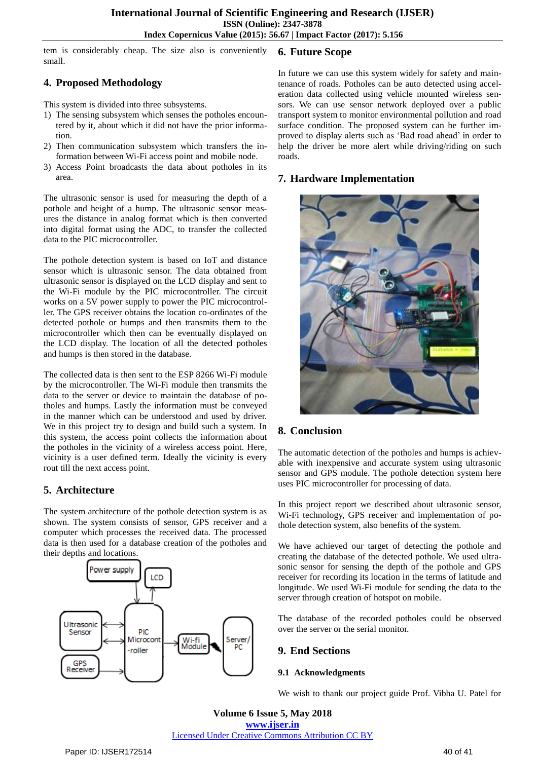tem is considerably cheap. The size also is conveniently small. **6. Future Scope**

# **4. Proposed Methodology**

This system is divided into three subsystems.

- 1) The sensing subsystem which senses the potholes encountered by it, about which it did not have the prior information.
- 2) Then communication subsystem which transfers the information between Wi-Fi access point and mobile node.
- 3) Access Point broadcasts the data about potholes in its area.

The ultrasonic sensor is used for measuring the depth of a pothole and height of a hump. The ultrasonic sensor measures the distance in analog format which is then converted into digital format using the ADC, to transfer the collected data to the PIC microcontroller.

The pothole detection system is based on IoT and distance sensor which is ultrasonic sensor. The data obtained from ultrasonic sensor is displayed on the LCD display and sent to the Wi-Fi module by the PIC microcontroller. The circuit works on a 5V power supply to power the PIC microcontroller. The GPS receiver obtains the location co-ordinates of the detected pothole or humps and then transmits them to the microcontroller which then can be eventually displayed on the LCD display. The location of all the detected potholes and humps is then stored in the database.

The collected data is then sent to the ESP 8266 Wi-Fi module by the microcontroller. The Wi-Fi module then transmits the data to the server or device to maintain the database of potholes and humps. Lastly the information must be conveyed in the manner which can be understood and used by driver. We in this project try to design and build such a system. In this system, the access point collects the information about the potholes in the vicinity of a wireless access point. Here, vicinity is a user defined term. Ideally the vicinity is every rout till the next access point.

# **5. Architecture**

The system architecture of the pothole detection system is as shown. The system consists of sensor, GPS receiver and a computer which processes the received data. The processed data is then used for a database creation of the potholes and their depths and locations.



In future we can use this system widely for safety and maintenance of roads. Potholes can be auto detected using acceleration data collected using vehicle mounted wireless sensors. We can use sensor network deployed over a public transport system to monitor environmental pollution and road surface condition. The proposed system can be further improved to display alerts such as 'Bad road ahead' in order to help the driver be more alert while driving/riding on such roads.

## **7. Hardware Implementation**



## **8. Conclusion**

The automatic detection of the potholes and humps is achievable with inexpensive and accurate system using ultrasonic sensor and GPS module. The pothole detection system here uses PIC microcontroller for processing of data.

In this project report we described about ultrasonic sensor, Wi-Fi technology, GPS receiver and implementation of pothole detection system, also benefits of the system.

We have achieved our target of detecting the pothole and creating the database of the detected pothole. We used ultrasonic sensor for sensing the depth of the pothole and GPS receiver for recording its location in the terms of latitude and longitude. We used Wi-Fi module for sending the data to the server through creation of hotspot on mobile.

The database of the recorded potholes could be observed over the server or the serial monitor.

## **9. End Sections**

#### **9.1 Acknowledgments**

We wish to thank our project guide Prof. Vibha U. Patel for

**Volume 6 Issue 5, May 2018 [www.ijser.in](file:///G:\www.ijser.in\Documents\www.ijser.in)** [Licensed Under Creative Commons Attribution CC BY](http://creativecommons.org/licenses/by/4.0/)